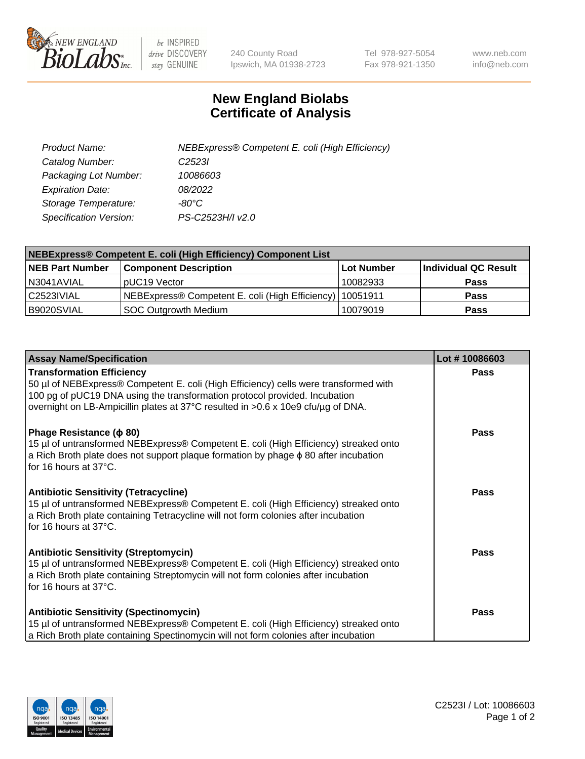

 $be$  INSPIRED drive DISCOVERY stay GENUINE

240 County Road Ipswich, MA 01938-2723 Tel 978-927-5054 Fax 978-921-1350 www.neb.com info@neb.com

## **New England Biolabs Certificate of Analysis**

| Product Name:           | NEBExpress® Competent E. coli (High Efficiency) |
|-------------------------|-------------------------------------------------|
| Catalog Number:         | C <sub>2523</sub>                               |
| Packaging Lot Number:   | 10086603                                        |
| <b>Expiration Date:</b> | 08/2022                                         |
| Storage Temperature:    | -80°C                                           |
| Specification Version:  | PS-C2523H/I v2.0                                |

| <b>NEBExpress® Competent E. coli (High Efficiency) Component List</b> |                                                            |            |                      |  |
|-----------------------------------------------------------------------|------------------------------------------------------------|------------|----------------------|--|
| <b>NEB Part Number</b>                                                | <b>Component Description</b>                               | Lot Number | Individual QC Result |  |
| N3041AVIAL                                                            | pUC19 Vector                                               | 10082933   | <b>Pass</b>          |  |
| C2523IVIAL                                                            | NEBExpress® Competent E. coli (High Efficiency)   10051911 |            | <b>Pass</b>          |  |
| B9020SVIAL                                                            | <b>SOC Outgrowth Medium</b>                                | 10079019   | <b>Pass</b>          |  |

| <b>Assay Name/Specification</b>                                                                                                                                                                                                                                                            | Lot #10086603 |
|--------------------------------------------------------------------------------------------------------------------------------------------------------------------------------------------------------------------------------------------------------------------------------------------|---------------|
| <b>Transformation Efficiency</b><br>50 µl of NEBExpress® Competent E. coli (High Efficiency) cells were transformed with<br>100 pg of pUC19 DNA using the transformation protocol provided. Incubation<br>overnight on LB-Ampicillin plates at 37°C resulted in >0.6 x 10e9 cfu/µg of DNA. | Pass          |
| Phage Resistance ( $\phi$ 80)<br>15 µl of untransformed NEBExpress® Competent E. coli (High Efficiency) streaked onto<br>a Rich Broth plate does not support plaque formation by phage $\phi$ 80 after incubation<br>for 16 hours at $37^{\circ}$ C.                                       | Pass          |
| <b>Antibiotic Sensitivity (Tetracycline)</b><br>15 µl of untransformed NEBExpress® Competent E. coli (High Efficiency) streaked onto<br>a Rich Broth plate containing Tetracycline will not form colonies after incubation<br>for 16 hours at $37^{\circ}$ C.                              | Pass          |
| <b>Antibiotic Sensitivity (Streptomycin)</b><br>15 µl of untransformed NEBExpress® Competent E. coli (High Efficiency) streaked onto<br>a Rich Broth plate containing Streptomycin will not form colonies after incubation<br>for 16 hours at 37°C.                                        | <b>Pass</b>   |
| <b>Antibiotic Sensitivity (Spectinomycin)</b><br>15 µl of untransformed NEBExpress® Competent E. coli (High Efficiency) streaked onto<br>a Rich Broth plate containing Spectinomycin will not form colonies after incubation                                                               | <b>Pass</b>   |